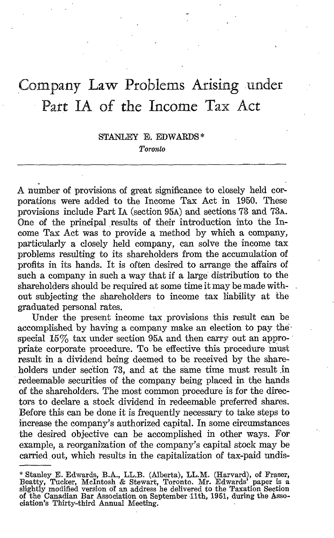# Company Law Problems Arising under Part IA of the Income Tax Act

## STANLEY E. EDWARDS\* Toronto

A number of provisions of great significance to closely held corporations were added to the Income Tax Act in 1950. These provisions include Fart IA (section 95A) and sections 73 and 73A. One of the principal results of their introduction into the Income Tax Act was to provide a method by which a company, particularly a closely held company, can solve the income tax problems resulting to its shareholders from the accumulation of profits in its hands. It is often desired to arrange the affairs of such a company in such a way that if a large distribution to the shareholders should be required at some time it may be made without subjecting the shareholders to income tax liability at the graduated personal rates.

Under the present income tax provisions this result can be accomplished by having a company make an election to pay thespecial  $15\%$  tax under section 95A and then carry out an appropriate corporate procedure. To be effective this procedure must result in a dividend being deemed to be received by the shareholders under section 73, and at the same time must result in redeemable securities of the company being placed in the hands of the shareholders. The most common procedure is for the directors to declare a stock dividend in redeemable preferred shares. Before this can be done it is frequently necessary to take steps to increase the company's authorized capital . In some circumstances the desired objective can be accomplished in other ways. For example, a reorganization of the company's capital stock may be carried out, which results in the capitalization of tax-paid undis-

<sup>\*</sup> Stanley E. Edwards, B.A., LL.B. (Alberta), LL.M. (Harvard), of Fraser, Beatty, Tucker, McIntosh & Stewart, Toronto . Mr. Edwards' paper is <sup>a</sup> slightly modified version of an address he delivered to the Taxation Section of the Canadian Bar Association on September 11th, 1951, during the Asso-ciation's Thirty-third Annual Meeting .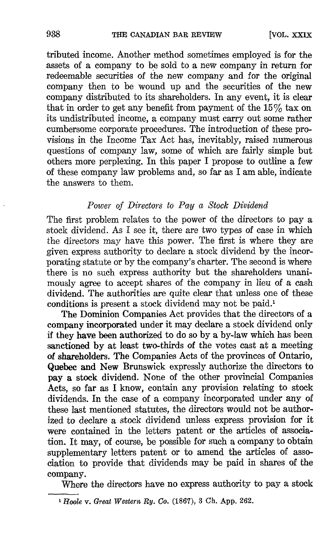tributed income . Another method sometimes employed is for the assets of a company to be sold to a new company in return for redeemable securities of the new company and for the original company then to be wound up and the securities of the new company distributed to its shareholders. In any event, it is clear that in order to get any benefit from payment of the  $15\%$  tax on its undistributed income, a company must carry out some rather cumbersome corporate procedures. The introduction of these provisions in the Income Tax Act has, inevitably, raised numerous questions of company law, some of which are fairly simple but others more perplexing. In this paper <sup>I</sup> propose to outline a few of these company law problems and, so far as <sup>I</sup> am able, indicate the answers to them.

## Power of Directors to Pay a Stock Dividend

The first problem relates to the power of the directors to pay a stock dividend. As I see it, there are two types of case in which the directors may have this power. The first is where they are given express authority to declare a stock dividend by the incorporating statute or by the company's charter. The second is where there is no such express authority but the shareholders unanimously agree to accept shares of the company in lieu of a cash dividend. The authorities are quite clear that unless one of these conditions is present a stock dividend may not be paid.'

The Dominion Companies Act provides that the directors of a company incorporated under it may declare a stock dividend only if they have been authorized to do so by a by-law which has been sanctioned by at least two-thirds of the votes cast at a meeting of shareholders. The Companies Acts of the provinces of Ontario, Quebec and New Brunswick expressly authorize the directors to pay a stock dividend. None of the other provincial Companies Acts, so far as I know, contain any provision relating to stock dividends. In the case of a company incorporated under any of these last mentioned statutes, the directors would not be authorized to declare a stock dividend unless express provision for it were contained in the letters patent or the articles of association . It may, of course, be possible for such a company to obtain supplementary letters patent or to amend the articles of association to provide that dividends may be paid in shares of the company.

Where the directors have no express authority to pay a stock

<sup>&#</sup>x27; Hoole v. Great Western Ry. Co. (1867), <sup>3</sup> Ch. App. 262.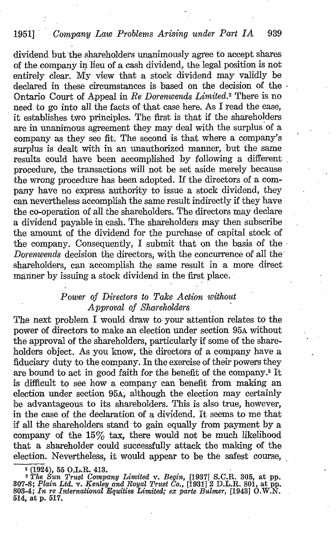# 1951] Company Law Problems Arising under Part IA 939

dividend but the shareholders unanimously agree to accept shares of the company in lieu of a cash dividend, the legal position is not entirely clear. My view that <sup>a</sup> stock dividend may validly be declared in these circumstances is based on the decision of the -Ontario Court of Appeal in Re Dorenwends Limited.<sup>2</sup> There is no need to go into all the facts of that case here. As I read the case, it establishes two principles. The first is that if the shareholders are in unanimous agreement they may deal with the surplus of a company as they see fit. The second is that where a company's surplus is dealt with in an unauthorized manner, but the same results could have been accomplished by following a different procedure, the transactions will not be set aside merely because the wrong procedure has been adopted. If the directors of a company have no express authority to issue a stock dividend, they can nevertheless accomplish the same result indirectly if they have the co-operation of all the shareholders. The directors may declare a dividend payable in cash. The shareholders may then subscribe the amount of the dividend for the purchase of capital stock of the company. Consequently, I submit that on the basis of the Dorenwends decision the directors; with the concurrence of all the shareholders, can accomplish the same result in a more direct manner by issuing a stock dividend in the first place.

## Power of Directors to Take Action without Approval of Shareholders

The next problem I would draw to your attention relates to the power of directors to make an election under section 95A without the approval of the shareholders, particularly if some of the shareholders object. As you know, the directors of a company have a fiduciary duty to the company. In the exercise of their powers they are bound to act in good faith for the benefit of the company.8 It is difficult to see how a company can benefit from making an election under section 95A, although the election may certainly be advantageous to its shareholders. This is also true, however, in the case of the declaration of a dividend. It seems to me that if all the shareholders stand to gain equally from payment by a company of the  $15\%$  tax, there would not be much likelihood that a shareholder could successfully attack the making of the election. Nevertheless, it would appear to be the safest course,

<sup>2</sup> (1924), 55 O.L.R. 413.<br>
<sup>3</sup> The Sun Trust Company Limited v. Begin, [1937] S.C.R. 305, at pp.<br>
307-8; Plain Ltd. v. Kenley and Royal Trust Co., [1931] 2 D.L.R. 801, at pp.<br>
803-4; In re International Equities Limited; 514, at p. 517.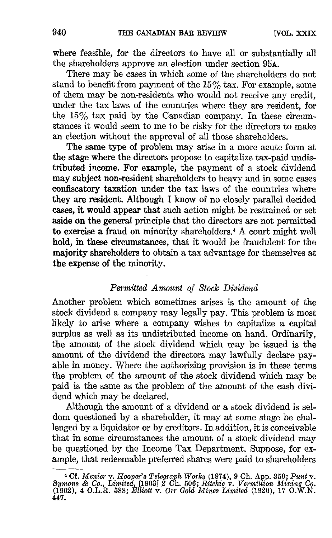where feasible, for the directors to have all or substantially all the shareholders approve an election under section 95A.

There may be cases in which some of the shareholders do not stand to benefit from payment of the  $15\%$  tax. For example, some of them may be non-residents who would not receive any credit, under the tax laws of the countries where they are resident, for the  $15\%$  tax paid by the Canadian company. In these circumstances it would seem to me to be risky for the directors to make an election without the approval of all those shareholders.

The same type of problem may arise in a more acute form at the stage where the directors propose to capitalize tax-paid undistributed income. For example, the payment of a stock dividend may subject non-resident shareholders to heavy and in some cases confiscatory taxation under the tax laws of the countries where they are resident. Although I know of no closely parallel decided cases, it would appear that such action might be restrained or set aside on the general principle that the directors are not permitted to exercise a fraud on minority shareholders.<sup>4</sup> A court might well hold, in these circumstances, that it would be fraudulent for the majority shareholders to obtain a tax advantage for themselves at the expense of the minority .

#### Permitted Amount of Stock Dividend

Another problem which sometimes arises is the amount of the stock dividend a company may legally pay. This problem is most likely to arise where a company wishes to capitalize a capital surplus as well as its undistributed income on hand. Ordinarily, the amount of the stock dividend which may be issued is the amount of the dividend the directors may lawfully declare payable in money. Where the authorizing provision is in these terms the problem of the amount of the stock dividend which may be paid is the same as the problem of the amount of the cash dividend which may be declared.

Although the amount of a dividend or a stock dividend is seldom questioned by a shareholder, it may at some stage be challenged by a liquidator or by creditors. In addition, it is conceivable that in some circumstances the amount of a stock dividend may be questioned by the Income Tax Department. Suppose, for example, that redeemable preferred shares were paid to shareholders

<sup>4</sup> Cf. Menier v. Hooper's Telegraph Works (1874), 9 Ch. App. 350 ; Punt v. Symons & Co., Limited, [19031,2 Ch. <sup>506</sup> ; Ritchie v. Vermillion Mining Co. (1902), 4 O.L.R. <sup>588</sup> ; Elliott v. Orr Gold Mines Limited (1920), <sup>17</sup> O.W.N. 447.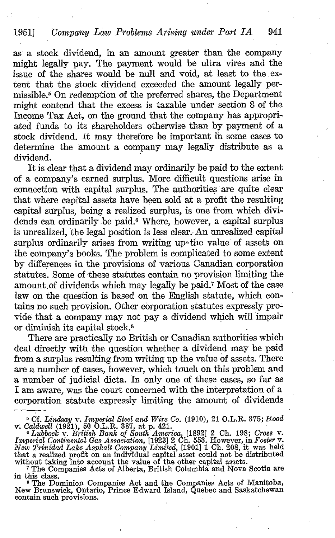as a stock dividend, in an amount greater than the company might legally pay. The payment would be ultra vires and the issue of the shares would be null and void, at least to the extent that the stock dividend exceeded the amount legally permissible.<sup>5</sup> On redemption of the preferred shares, the Department might contend that the excess is taxable under section 8 of the Income Tax Act, on the ground that the company has appropriated funds to its shareholders otherwise than by payment of a stock dividend. It may therefore be important in some cases to determine the amount a company may legally distribute as a dividend.

It is clear that a dividend may ordinarily be paid to the extent of a company's earned surplus. More difficult questions arise in connection with capital surplus. The authorities are quite clear that where capital assets have been sold at a profit the resulting capital surplus, being a realized surplus, is one from which dividends can ordinarily be paid.<sup>6</sup> Where, however, a capital surplus is unrealized, the legal position is less clear. An unrealized capital surplus ordinarily arises from writing up-the value of assets on the company's books. The problem is complicated to some extent by differences in the provisions of various Canadian corporation statutes . Some of these statutes contain no provision limiting the amount of dividends which may legally be paid.<sup>7</sup> Most of the case law on the question is based on the English statute, which contains no such provision. Other corporation statutes expressly pro= vide' that a company may not pay a dividend which will impair or diminish its capital stock.<sup>8</sup>

There are practically no British or Canadian authorities which deal directly with the question whether a dividend may be paid from a surplus resulting from writing up the value of assets. There are a number of cases, however, which touch on this problem and a number of judicial dicta. In only one of these cases, so far as <sup>I</sup> am aware, was the court concerned with the interpretation of a corporation statute expressly limiting the amount of dividends

 $^{5}$  Cf. Lindsay v. Imperial Steel and Wire Co. (1910), 21 O.L.R. 375; Hood

v, Caldwell (1921), 50 O.L.R. 387, at p. 421.<br>
<sup>6</sup> Lubbock v. British Bank of South America, [1892] 2 Ch. 198; Cross v.<br> *Factor* F. Company of the Hotel of the Hotel of the Hotel of the Hotel of the Hotel of the Hotel of Imperial Continental Gas Association, [1923] 2 Ch. 553. However, in Foster v. New Trinidad Lake Asphalt Company Limited, [1901] <sup>1</sup> Ch. 208, it was held that a realized profit on an individual capital asset could not be distributed

without taking into account the value of the other capital assets.<br>The Companies Acts of Alberta, British Columbia and Nova Scotia are

In this class.<br>
<sup>8</sup> The Dominion Companies Act and the Companies Acts of Manitoba,<br>
New Brunswick, Ontario, Prince Edward Island, Quebec and Saskatchewan contain such provisions.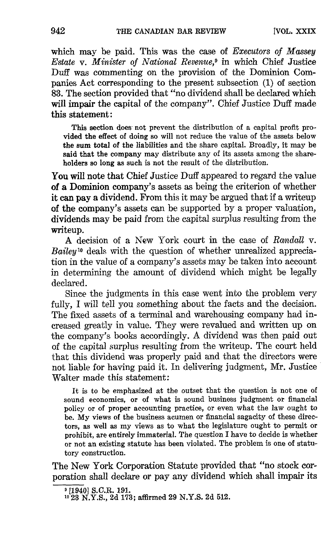which may be paid. This was the case of *Executors* of *Massey* Estate v. Minister of National Revenue,<sup>9</sup> in which Chief Justice Duff was commenting on the provision of the Dominion Companies Act corresponding to the present subsection (1) of section 83. The section provided that "no dividend shall be declared which will impair the capital of the company". Chief Justice Duff made this statement:

This section does not prevent the distribution of a capital profit provided the effect of doing so will not reduce the value of the assets below the sum total of the liabilities and the share capital. Broadly, it may be said that the company may distribute any of its assets among the shareholders so long as such is not the result of the distribution.

You will note that Chief Justice Duff appeared to regard the value of a Dominion company's assets as being the criterion of whether it can pay a dividend. From this it may be argued that if a writeup of the company's assets can be supported by a proper valuation, dividends may be paid from the capital surplus resulting from the writeup.

A decision of <sup>a</sup> New York court in the case of Randall v. Bailey<sup>10</sup> deals with the question of whether unrealized appreciation in the value of a company's assets may be taken into account in determining the amount of dividend which might be legally declared.

Since the judgments in this case went into the problem very fully, I will tell you something about the facts and the decision. The fixed assets of a terminal and warehousing company had in creased greatly in value. They were revalued and written up on the company's books accordingly. A dividend was then paid out of the capital surplus resulting from the writeup. The court held that this dividend was properly paid and that the directors were not liable for having paid it . In delivering judgment, Mr. Justice Walter made this statement:

It is to be emphasized at the outset that the question is not one of sound economics, or of what is sound business judgment or financial policy or of proper accounting practice, or even what the law ought to be. My views of the business acumen or financial sagacity of these directors, as well as my views as to what the legislature ought to permit or prohibit, are entirely immaterial. The question <sup>I</sup> have to decide is whether or not an existing statute has been violated . The problem is one of statutory construction.

The New York Corporation Statute provided that "no stock corporation shall declare or pay any dividend which shall impair its

 $\frac{1}{2}$ [1940] S.C.R. 191.

<sup>&</sup>lt;sup>10</sup> 23 N.Y.S., 2d 173; affirmed 29 N.Y.S. 2d 512.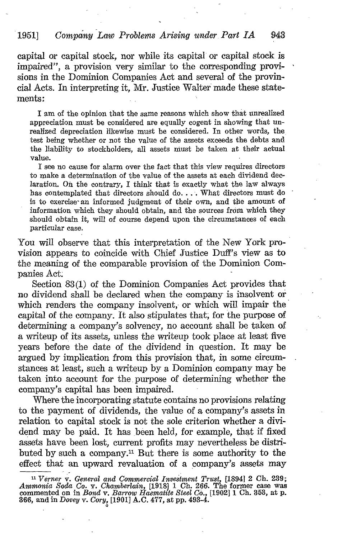## 1951] Company Law Problems Arising under Part IA 943

capital or capital stock, nor while its capital or capital stock is impaired", a provision very similar to the corresponding provisions in the Dominion Companies Act and several of the provincial Acts. In interpreting it, Mr. Justice Walter made these statements:

<sup>I</sup> am of the opinion that the same reasons which show that unrealized appreciation must be considered are equally cogent in showing that unrealized depreciation likewise must be considered. In other words, the test being whether or not the value of the assets exceeds the debts and the liability to stockholders, all assets must be taken at their actual value.

I see no cause for alarm over the fact that this view requires directors to make a determination of the value of the assets at each dividend declaration . On the contrary, I think that is exactly what the law always has contemplated that directors should do. . . . What directors must do is to exercise an informed judgment of their own, and the amount of information which they should obtain, and the sources from which they should obtain it, will of course depend upon the circumstances of each particular case.

You will observe that this interpretation of the New York provision appears to coincide with Chief Justice Duff's view as to the meaning of the comparable provision of the Dominion Companies Act:

Section 33(1) of the Dominion Companies Act provides that no dividend shall be declared when the company is insolvent or which renders the company insolvent, or which will impair the capital of the company. It also stipulates that, for the purpose of determining a company's solvency, no account shall be taken of a writeup of its assets, unless the writeup took place at least five years before the date of the dividend in question. It may be argued by implication from this provision that, in some circumstances at least, such a writeup by a Dominion company may be taken into account for the, purpose of determining whether the company's capital has been impaired.

Where the incorporating statute contains no provisions relating to the payment of dividends, the value of a company's assets in relation to capital stock is not the sole criterion whether a dividend may be paid. It has been held, for example, that if fixed assets have been lost, current profits may nevertheless be distributed by such a company." But there is some authority to the effect that an upward revaluation of a company's assets may

<sup>&</sup>lt;sup>11</sup> Verner v. General and Commercial Investment Trust,  $[1894]$  2 Ch. 239;<br>weavenly  $S_1 A_2 C_1 = G_1$  when  $\frac{1}{2}$  in  $S_2 C_3$  and  $S_3 C_4$  and  $S_4 C_5$  when  $S_5 C_6$  when Ammonia Soda Co. v. Chamberlain, [1918] 1 Ch. 266. The former case was<br>commented on in Bond v. Barrow Haematite Steel Co., [1902] 1 Ch. 353, at p.<br>266 april 120001 v. Comunity Co., 777  $366, \,\mathrm{and}\,\mathrm{in}\,Dovey\,\mathrm{v}.\,Cory\!,[1901]\,\mathrm{A.C.}\,477,\,\mathrm{at}\,\mathrm{pp.}\,493\text{-}4.$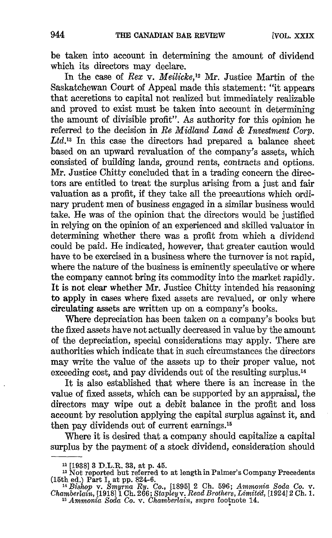be taken into account in determining the amount of dividend which its directors may declare.

In the case of Rex v. Meilicke,<sup>12</sup> Mr. Justice Martin of the Saskatchewan Court of Appeal made this statement: "it appears that accretions to capital not realized but immediately realizable and proved to exist must be taken into account in determining the amount of divisible profit". As authority for this opinion he referred to the decision in Re Midland Land & Investment Corp. Ltd.<sup>13</sup> In this case the directors had prepared a balance sheet based on an upward revaluation of the company's assets, which consisted of building lands, ground rents, contracts and options. Mr. Justice Chitty concluded that in a trading concern the directors are entitled to treat the surplus arising from a just and fair valuation as a profit, if they take all the precautions which ordinary prudent men of business engaged in a similar business would take. He was of the opinion that the directors would be justified in relying on the opinion of an experienced and skilled valuator in determining whether there was a profit from which a dividend could be paid. He indicated, however, that greater caution would have to be exercised in a business where the turnover is not rapid, where the nature of the business is eminently speculative or where the company cannot bring its commodity into the market rapidly. It is not clear whether Mr. Justice Chitty intended his reasoning to apply in cases where fixed assets are revalued, or only where circulating assets are written up on a company's books.

Where depreciation has been taken on a company's books but the fixed assets have not actually decreased in value by the amount of the depreciation, special considerations may apply. There are authorities which indicate that in such circumstances the directors may write the value of the assets up to their proper value, not exceeding cost, and pay dividends out of the resulting surplus. <sup>1</sup><sup>4</sup>

It is also established that where there is an increase in the value of fixed assets, which can be supported by an appraisal, the directors may wipe out a debit balance in the profit and loss account by resolution applying the capital surplus against it, and then pay dividends out of current earnings.<sup>15</sup>

Where it is desired that a company should capitalize a capital surplus by the payment of a stock dividend, consideration should

<sup>&</sup>lt;sup>12</sup> [1938] 3 D.L.R. 33, at p. 45.

<sup>&</sup>lt;sup>13</sup> Not reported but referred to at length in Palmer's Company Precedents

<sup>(15</sup>th ed.) Part 1, at pp. 824-6. <sup>14</sup> Bishop v. Smyrna Ry. Co., [18951 2 Ch. 596; Ammonia Soda Co. v. Chamberlain, [191811 Ch. 266 ; Stapleyv. Read Brothers, Limited, [192412 Ch. 1. <sup>15</sup> Ammonia Soda Co. v. Chamberlain, supra footnote 14.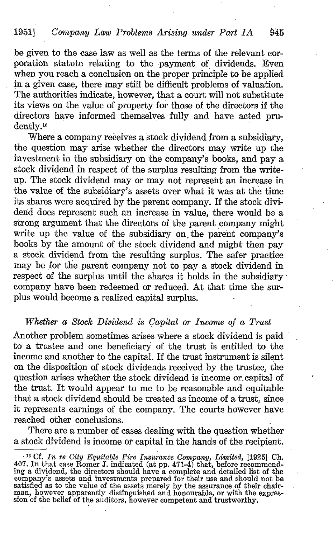# 1951} Company Law Problems Arising under Part IA 945

be given to the case law as well as the terms of the relevant corporation statute relating to the payment of dividends. Even when you reach a conclusion on the proper principle to be applied in a given case, there may still be difficult problems of valuation. The authorities indicate, however, that a court will not substitute its views on the value of property for those of the directors if the directors have informed themselves fully and have acted prudently.<sup>16</sup>

Where a company receives a stock dividend from a subsidiary, the question may arise whether the directors may write up the investment in the subsidiary on the company's books, and pay a stock dividend in respect of the surplus resulting from the writeup. The stock dividend may or may not represent an increase in the value of the subsidiary's assets over what it was at the time its shares were acquired by the parent company. If the stock dividend does represent such an increase in value, there would be a strong argument that the directors of the parent company might write up the value of the subsidiary on the parent company's books by the amount of the stock dividend and might then pay a stock dividend from the resulting surplus. The safer practice may be for the parent company not to pay a stock dividend in respect of the surplus until the shares it holds in the subsidiary company have been redeemed or reduced. At that time the surplus would become a realized capital surplus. -

#### Whether a Stock Dividend is Capital or Income of a Trust

Another problem sometimes arises where a stock dividend is paid to a trustee and one beneficiary of the trust is entitled to the income and another to the capital. If the trust instrument is silent on the disposition of stock dividends received by the trustee, the question arises whether the stock dividend is income or. capital of the trust. It would appear to me to be reasonable and equitable that a stock dividend should be treated as income of a trust, since it represents earnings of the company. The courts however have reached other conclusions.

There are a number of cases dealing with the question whether a stock dividend is income or capital in the hands of the recipient.

<sup>16</sup> Cf. In re City Equitable Fire Insurance Company, Limited, [1925] Ch. 407. In that case Romer J. indicated (at pp. 471-4) that, before recommending a dividend, the directors should have a complete and detailed list of the company's assets and investments prepared for their use and should not be satisfied as to the value of the assets merely by the assurance of their chair-<br>man, however apparently distinguished and honourable, or with the expres-<br>cian, a the expres- $\sin$  of the belief of the auditors, however competent and trustworthy.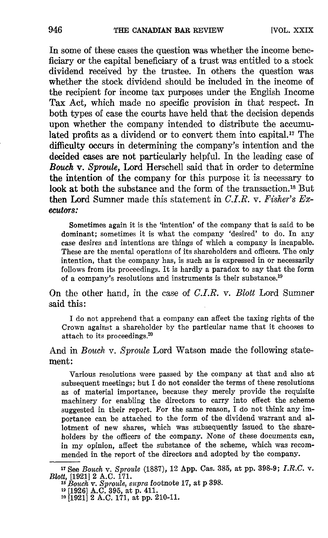In some of these cases the question was whether the income beneficiary or the capital beneficiary of a trust was entitled to a stock dividend received by the trustee. In others the question was whether the stock dividend should be included in the income of the recipient for income tax purposes under the English Income Tax Act, which made no specific provision in that respect. In both types of case the courts have held that the decision depends upon whether the company intended to distribute the accumulated profits as a dividend or to convert them into capital." The difficulty occurs in determining the company's intention and the decided cases are not particularly helpful. In the leading case of Bouch v. Sproule, Lord Herschell said that in order to determine the intention of the company for this purpose it is necessary to look at both the substance and the form of the transaction.<sup>18</sup> But then Lord Sumner made this statement in  $C.I.R. \nabla$ . Fisher's  $Ex$ ecutors:

Sometimes again it is the 'intention' of the company that is said to be dominant; sometimes it is what the company 'desired' to do. In any case desires and intentions are things of which a company is incapable. These are the mental operations of its shareholders and officers. The only intention, that the company has, is such as is expressed in or necessarily follows from its proceedings. It is hardly a paradox to say that the form of a company's resolutions and instruments is their substance.<sup>19</sup>

On the other hand, in the case of C.I.R. v. Blott Lord Sumner said this :

I do not apprehend that a company can affect the taxing rights of the Crown against a shareholder by the particular name that it chooses to attach to its proceedings. $20$ 

And in *Bouch* v. Sproule Lord Watson made the following statement:

Various resolutions were passed by the company at that and also at subsequent meetings; but I do not consider the terms of these resolutions as of material importance, because they merely provide the requisite machinery for enabling the directors to carry into effect the scheme suggested in their report. For the same reason, <sup>I</sup> do not think any importance can be attached to the form of the dividend warrant and allotment of new shares, which was subsequently issued to the shareholders by the officers of the company. None of these documents can, in my opinion, affect the substance of the scheme, which was recommended in the report of the directors and adopted by the company.

<sup>&</sup>lt;sup>17</sup> See Bouch v. Sproule (1887), 12 App. Cas. 385, at pp. 398-9; I.R.C. v. Blott, [1921] 2 A.C. 171.

<sup>&</sup>lt;sup>1s</sup> Bouch v. Sproule, supra footnote 17, at p 398.<br><sup>19</sup> [1926] A.C. 395, at p. 411.<br><sup>20</sup> [1981] **A.C. 3171.** 

<sup>20</sup> [192112 A.C: 171, at pp. 210-11.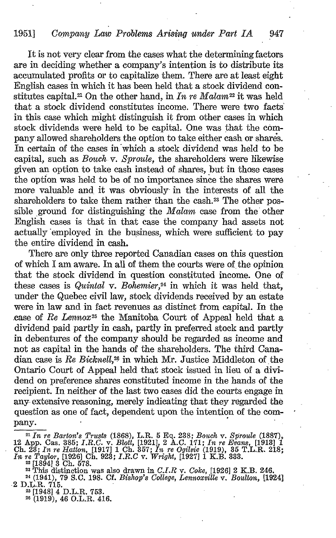# 1951] Company Law Problems Arising under Part IA 947

It is not very clear from the cases what the determining factors are in deciding whether a company's intention is to distribute its accumulated profits or to capitalize them. There are at least eight English cases in which it has been held that a stock dividend constitutes capital.<sup>21</sup> On the other hand, in In re Malam<sup>22</sup> it was held that a stock dividend constitutes income . There were two facts' in this case which might distinguish it from other cases in which stock dividends were held to be capital. One was that the company allowed shareholders the option to take either cash or shares. In certain of the cases in which a stock dividend was held to be capital, such as Bouch v. Sproule, the shareholders were likewise given an option to take cash instead of shares, but in those cases the option was held to be of no importance since the shares were more valuable and, it was obviously- in the interests of all the shareholders to take them rather than the cash. <sup>2</sup><sup>3</sup> The other possible ground for distinguishing the  $Malam$  case from the other English cases is that in that case the company had assets not actually employed in the business, which were sufficient to pay the entire dividend in cash.

There are only three reported Canadian cases on this question of which <sup>I</sup> am aware. In all of them the courts were of the opinion that the stock dividend in question constituted income. One of these cases is Quintal v. Bohemier, $24$  in which it was held that, under the Quebec civil law, stock dividends received by an estate were in law and in fact revenues as distinct from capital. In the case of Re Lennox<sup>25</sup> the Manitoba Court of Appeal held that a dividend paid partly in cash, partly in preferred stock and partly in debentures of the company should be regarded as income and not as capital in the hands of the shareholders . The third Canadian case is  $Re Bichrell$ ,<sup>26</sup> in which Mr. Justice Middleton of the Ontario Court of Appeal held that stock issued in lieu of a dividend on preference shares constituted income in the hands of the recipient. In neither of the last two cases did the courts engage in any- extensive reasoning, merely indicating that they regarded the question as one of fact, dependent upon the intention of the company.

 $25$  [1948]  $4$  D.L.R. 753.<br>25 (1919)  $46$  O L R  $41$ <sup>26</sup> (1919), <sup>46</sup> O.L.R. 416.

<sup>&</sup>lt;sup>21</sup> In re Barton's Trusts (1868), L.R. 5 Eq. 238; Bouch v. Sproule (1887),  $\Lambda_{\rm 2D}$  Cases 385, L.B. C. 171, L.  $\mu_{\rm 2D}$  Eggma, [1913], 1 12 App. Cas. 385; I.R.C. v. Blott, [1921], 2 A.C. 171; In re Evans, [1913] 1<br>Ch. 22: In re Hatton, [1917] 1 Ch. 257; In re Ogilmic (1919), 25 T.I. P. 218. Ch. 23; In re Hatton, [1917] 1 Ch. 357; In re Ogilvie (1919), 35 T.L.R. 218;<br>In re Taylor, [1926] Ch. 923; I.R.C v. Wright, [1927] 1 K.B. 333.<br><sup>22</sup> This distinction was also drawn in C.I.R v. Coke, [1926] 2 K.B. 246.<br><sup>24</sup>

<sup>&</sup>lt;sup>24</sup> (1941), 79 S.C. 198. Cf. *Bishop's College, Lennoxville* v. *Boulton,* [1924]<br>2 D.L.R. 715.<br><sup>25</sup> 119481 4 D.L.R. 753.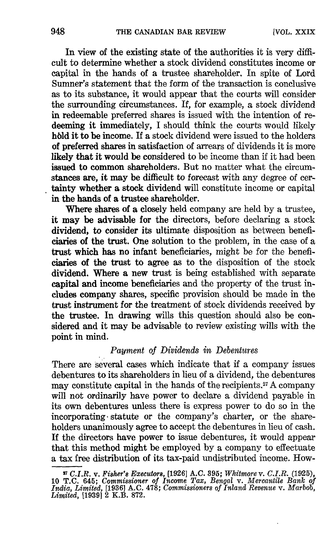In view of the existing state of the authorities it is very difficult to determine whether a stock dividend constitutes income or capital in the hands of a trustee shareholder. In spite of Lord Sumner's statement that the form of the transaction is conclusive as to its substance, it would appear that the courts will consider the surrounding circumstances. If, for example, a stock dividend in redeemable preferred shares is issued with the intention of redeeming it immediately, I should think the courts would likely hold it to be income. If a stock dividend were issued to the holders of preferred shares in satisfaction of arrears of dividends it is more likely that it would be considered to be income than if it had been issued to common shareholders. But no matter what the circumstances are, it may be difficult to forecast with any degree of certainty whether a stock dividend will constitute income or capital in the hands of a trustee shareholder.

Where shares of a closely held company are held by a trustee, it may be advisable for the directors, before declaring a stock dividend, to consider its ultimate disposition as between beneficiaries of the trust. One solution to the problem, in the case of a trust which has no infant beneficiaries, might be for the beneficiaries of the trust to agree as to the disposition of the stock dividend. Where a new trust is being established with separate capital and income beneficiaries and the property of the trust includes company shares, specific provision should be made in the trust instrument for the treatment of stock dividends received by the trustee. In drawing wills this question should also be considered and it may be advisable to review existing wills with the point in mind.

# Payment of Dividends in Debentures

There are several cases which indicate that if a company issues debentures to its shareholders in lieu of a dividend, the debentures may constitute capital in the hands of the recipients.<sup>27</sup> A company will not ordinarily have power to declare a dividend payable in its own debentures unless there is express power to do so in the incorporating statute or the company's charter, or the shareholders unanimously agree to accept the debentures in lieu of cash. If the directors have power to issue debentures, it would appear that this method might be employed by a company to effectuate a tax free distribution of its tax-paid undistributed income. How-

<sup>&</sup>lt;sup>17</sup> C.I.R. v. Fisher's Executors, [1926] A.C. 395; Whitmore v. C.I.R. (1925), 10 T.C. 645; Commissioner of Income Tax, Bengal v. Mercantile Bank of *India, Limited*, [1936] A.C. 478; Commissioners of Inland Revenue v. Mar